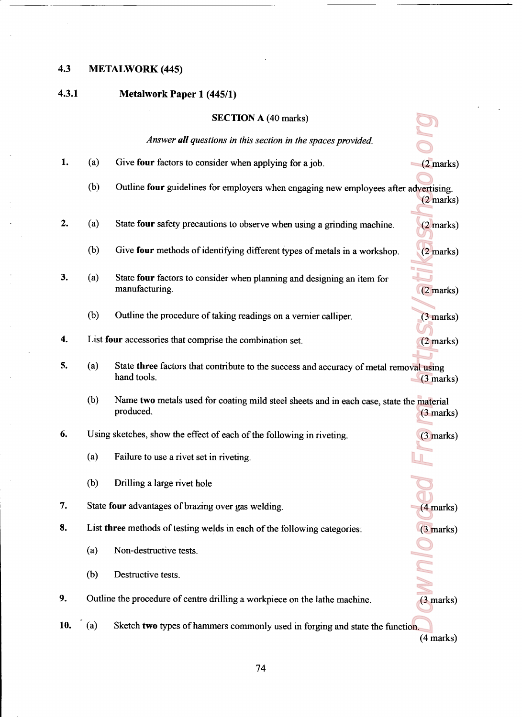## 4.3 METALWORK (445)

## 4.3.1 Metalwork Paper <sup>1</sup> (445/1)

|     |     | <b>SECTION A (40 marks)</b>                                                                           |                     |
|-----|-----|-------------------------------------------------------------------------------------------------------|---------------------|
|     |     | Answer all questions in this section in the spaces provided.                                          |                     |
|     |     |                                                                                                       |                     |
| 1.  | (a) | Give four factors to consider when applying for a job.                                                | $(2$ marks)         |
|     | (b) | Outline four guidelines for employers when engaging new employees after advertising.                  | $(2 \text{ marks})$ |
| 2.  | (a) | State four safety precautions to observe when using a grinding machine.                               | $(2 \text{ marks})$ |
|     | (b) | Give four methods of identifying different types of metals in a workshop.                             | $(2$ marks)         |
| 3.  | (a) | State four factors to consider when planning and designing an item for<br>manufacturing.              | $(2$ marks)         |
|     | (b) | Outline the procedure of taking readings on a vernier calliper.                                       | $(3$ marks)         |
| 4.  |     | List four accessories that comprise the combination set.                                              | $(2$ marks)         |
| 5.  | (a) | State three factors that contribute to the success and accuracy of metal removal using<br>hand tools. | $(3$ marks)         |
|     | (b) | Name two metals used for coating mild steel sheets and in each case, state the material<br>produced.  | $(3 \text{ marks})$ |
| 6.  |     | Using sketches, show the effect of each of the following in riveting.                                 | $(3$ marks)         |
|     | (a) | Failure to use a rivet set in riveting.                                                               |                     |
|     | (b) | Drilling a large rivet hole                                                                           |                     |
| 7.  |     | State four advantages of brazing over gas welding.                                                    | $(4$ marks)         |
| 8.  |     | List three methods of testing welds in each of the following categories:                              | $(3$ marks)         |
|     | (a) | Non-destructive tests.                                                                                |                     |
|     | (b) | Destructive tests.                                                                                    |                     |
| 9.  |     | Outline the procedure of centre drilling a workpiece on the lathe machine.                            | $(3$ marks)         |
| 10. | (a) | Sketch two types of hammers commonly used in forging and state the function.                          |                     |

(4 marks)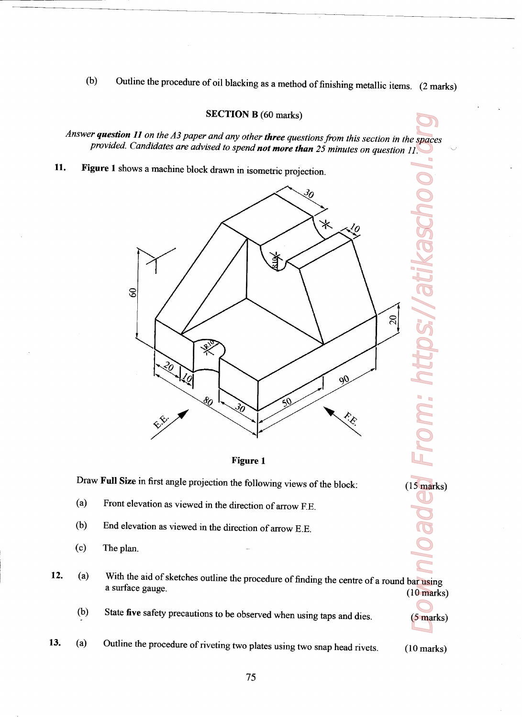(b) Outline the procedure of oil blacking as a method of finishing metallic items.  $(2 \text{ marks})$ 

## SECTION B (60 marks)

Answer question 11 on the A3 paper and any other three questions from this section in the spaces provided. Candidates are advised to spend not more than 25 minutes on question 11.

11. Figure <sup>1</sup> shows <sup>a</sup> machine block drawn in isometric projection.





Draw Full Size in first angle projection the following views of the block: (15 marks)

- (3) Front elevation as viewed in the direction of arrow F.E.
- (b) End elevation as viewed in the direction of arrow BE.
- (c) The plan.

- Roaded From: https://atikaschool.org 12. (a) With the aid of sketches outline the procedure of finding the centre of a round bar using a surface gauge. (10 marks)
	- (b) State five safety precautions to be observed when using taps and dies. (5 marks)

13. (a) Outline the procedure of riveting two plates using two snap head rivets. (10 marks)